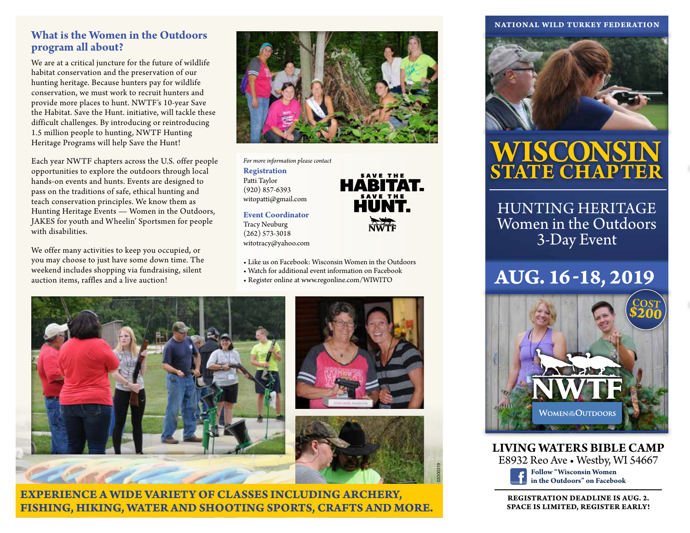### **What is the Women in the Outdoors program all about?**

We are at a critical juncture for the future of wildlife habitat conservation and the preservation of our hunting heritage. Because hunters pay for wildlife conservation, we must work to recruit hunters and provide more places to hunt. NWTF's 10-year Save the Habitat. Save the Hunt. initiative, will tackle these difficult challenges. By introducing or reintroducing 1.5 million people to hunting, NWTF Hunting Heritage Programs will help Save the Hunt!

Each year NWTF chapters across the U.S. offer people opportunities to explore the outdoors through local hands-on events and hunts. Events are designed to pass on the traditions of safe, ethical hunting and teach conservation principles. We know them as Hunting Heritage Events — Women in the Outdoors, JAKES for youth and Wheelin' Sportsmen for people with disabilities.

We offer many activities to keep you occupied, or you may choose to just have some down time. The weekend includes shopping via fundraising, silent auction items, raffles and a live auction!



SAVE THE **HABITAT.** 

HUNT.

*For more information please contact* 

**Registration** Patti Taylor (920) 857-6393 witopatti@gmail.com

**Event Coordinator** Tracy Neuburg (262) 573-3018 witotracy@yahoo.com



- Watch for additional event information on Facebook
- Register online at www.regonline.com/WIWITO



**EXPERIENCE A WIDE VARIETY OF CLASSES INCLUDING ARCHERY, FISHING, HIKING, WATER AND SHOOTING SPORTS, CRAFTS AND MORE.**

#### **NATIONAL WILD TURKEY FEDERATION**



## **WISCONSIN STATE CHAPTER**

HUNTING HERITAGE Women in the Outdoors 3-Day Event

### **AUG. 16 -18, 2019**



**LIVING WATERS BIBLE CAMP**

E8932 Reo Ave • Westby, WI 54667



03300319

**REGISTRATION DEADLINE IS AUG. 2. SPACE IS LIMITED, REGISTER EARLY!**